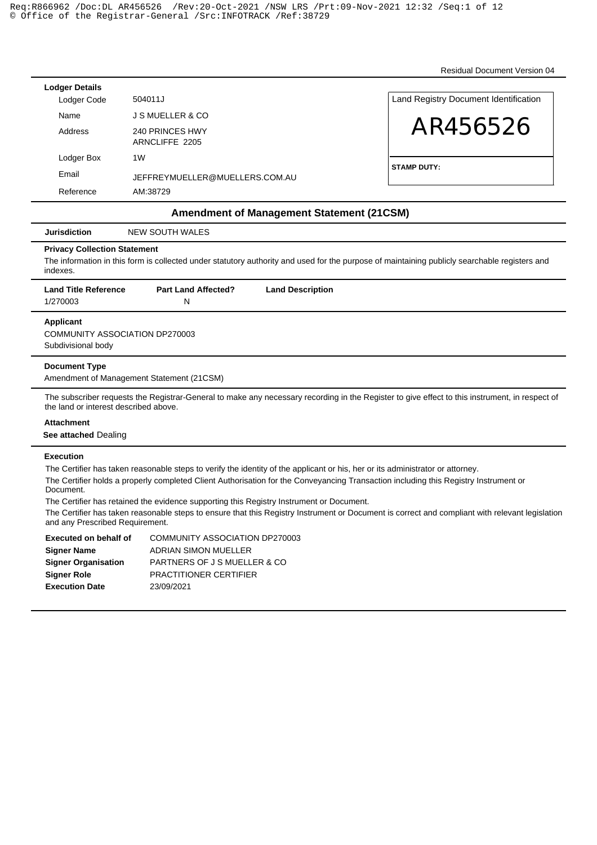Residual Document Version 04

| <b>Lodger Details</b> |                                |                                       |
|-----------------------|--------------------------------|---------------------------------------|
| Lodger Code           | 504011J                        | Land Registry Document Identification |
| Name                  | <b>J S MUELLER &amp; CO</b>    |                                       |
| Address               | 240 PRINCES HWY                | AR456526                              |
|                       | ARNCLIFFE 2205                 |                                       |
| Lodger Box            | 1W                             |                                       |
| Email                 | JEFFREYMUELLER@MUELLERS.COM.AU | <b>STAMP DUTY:</b>                    |
| Reference             | AM:38729                       |                                       |

## **Amendment of Management Statement (21CSM)**

| NEW SOUTH WALES<br><b>Jurisdiction</b> |
|----------------------------------------|
|----------------------------------------|

### **Privacy Collection Statement**

The information in this form is collected under statutory authority and used for the purpose of maintaining publicly searchable registers and indexes.

| <b>Land Title Reference</b><br>1/270003 | <b>Part Land Affected?</b> | <b>Land Description</b> |
|-----------------------------------------|----------------------------|-------------------------|
| Applicant                               |                            |                         |

COMMUNITY ASSOCIATION DP270003 Subdivisional body

### **Document Type**

Amendment of Management Statement (21CSM)

The subscriber requests the Registrar-General to make any necessary recording in the Register to give effect to this instrument, in respect of the land or interest described above.

### **Attachment**

**See attached** Dealing

## **Execution**

The Certifier has taken reasonable steps to verify the identity of the applicant or his, her or its administrator or attorney.

The Certifier holds a properly completed Client Authorisation for the Conveyancing Transaction including this Registry Instrument or Document.

The Certifier has retained the evidence supporting this Registry Instrument or Document.

The Certifier has taken reasonable steps to ensure that this Registry Instrument or Document is correct and compliant with relevant legislation and any Prescribed Requirement.

| <b>Executed on behalf of</b> | <b>COMMUNITY ASSOCIATION DP270003</b> |
|------------------------------|---------------------------------------|
| <b>Signer Name</b>           | ADRIAN SIMON MUELLER                  |
| <b>Signer Organisation</b>   | PARTNERS OF J S MUELLER & CO          |
| <b>Signer Role</b>           | <b>PRACTITIONER CERTIFIER</b>         |
| <b>Execution Date</b>        | 23/09/2021                            |
|                              |                                       |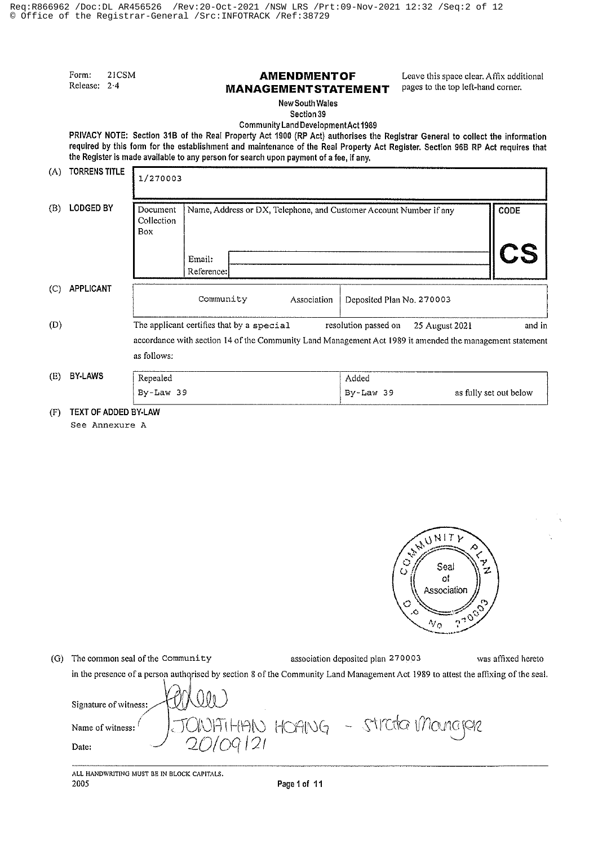Form: 21CSM Release: 2.4

# **AMENDMENTOF MANAGEMENT STATEMENT**

Leave this space clear, Affix additional pages to the top left-hand corner.

New South Wales Section 39

Community Land Development Act 1989

PRIVACY NOTE: Section 31B of the Real Property Act 1900 (RP Act) authorises the Registrar General to collect the information required by this form for the establishment and maintenance of the Real Property Act Register. Section 96B RP Act requires that the Register is made available to any person for search upon payment of a fee, if any, TODDENS TITLE

| (A) | <b>IURRENS IIILE</b> | 1/270003                                              |                                                                    |                                                                                                                                                       |                      |                |                        |
|-----|----------------------|-------------------------------------------------------|--------------------------------------------------------------------|-------------------------------------------------------------------------------------------------------------------------------------------------------|----------------------|----------------|------------------------|
| (B) | <b>LODGED BY</b>     | Document<br>Collection<br>Box                         | Name, Address or DX, Telephone, and Customer Account Number if any |                                                                                                                                                       | <b>CODE</b>          |                |                        |
|     |                      |                                                       | Email:<br>Reference:                                               |                                                                                                                                                       |                      |                | CS                     |
| (C) | APPLICANT            | Community<br>Association<br>Deposited Plan No. 270003 |                                                                    |                                                                                                                                                       |                      |                |                        |
| (D) |                      | as follows:                                           |                                                                    | The applicant certifies that by a special<br>accordance with section 14 of the Community Land Management Act 1989 it amended the management statement | resolution passed on | 25 August 2021 | and in                 |
| (E) | <b>BY-LAWS</b>       | Repealed<br>$By-Law$ 39                               |                                                                    |                                                                                                                                                       | Added<br>By-Law 39   |                | as fully set out below |

(F) TEXT OF ADDED BY-LAW





| (G) | The common seal of the Community                                                                                                 | association deposited plan 270003 | was affixed hereto |
|-----|----------------------------------------------------------------------------------------------------------------------------------|-----------------------------------|--------------------|
|     | in the presence of a person authorised by section 8 of the Community Land Management Act 1989 to attest the affixing of the seal |                                   |                    |
|     | Signature of witness: HONOU                                                                                                      |                                   |                    |
|     |                                                                                                                                  |                                   |                    |
|     |                                                                                                                                  |                                   |                    |
|     | Spature of witness:<br>Name of witness:<br>20109121                                                                              |                                   |                    |

ALL HANDWRITING MUST BE IN BLOCK CAPITALS. 2005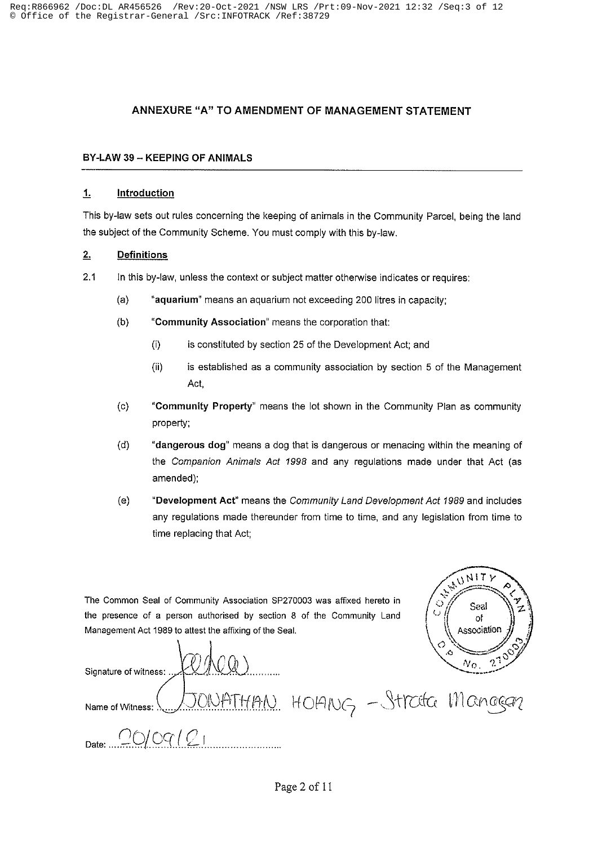# ANNEXURE "A" TO AMENDMENT OF MANAGEMENT STATEMENT

## BY-LAW 39 - KEEPING OF ANIMALS

#### $1.$ Introduction

This by-law sets out rules concerning the keeping of animals in the Community Parcel, being the land the subject of the Community Scheme. You must comply with this by-law.

#### $2.$ **Definitions**

- $2.1$ In this by-law, unless the context or subject matter otherwise indicates or requires:
	- $(a)$ "aquarium" means an aquarium not exceeding 200 litres in capacity;
	- "Community Association" means the corporation that:  $(b)$ 
		- $(i)$ is constituted by section 25 of the Development Act; and
		- is established as a community association by section 5 of the Management  $(ii)$ Act,
	- $(c)$ "Community Property" means the lot shown in the Community Plan as community property;
	- $(d)$ "dangerous dog" means a dog that is dangerous or menacing within the meaning of the Companion Animals Act 1998 and any regulations made under that Act (as amended);
	- "Development Act" means the Community Land Development Act 1989 and includes  $(e)$ any regulations made thereunder from time to time, and any legislation from time to time replacing that Act;

The Common Seal of Community Association SP270003 was affixed hereto in the presence of a person authorised by section 8 of the Community Land Management Act 1989 to attest the affixing of the Seal.



Signature of witness: ATHAN HOANG - Strata Manggar Name of Witness:  $QQOQ$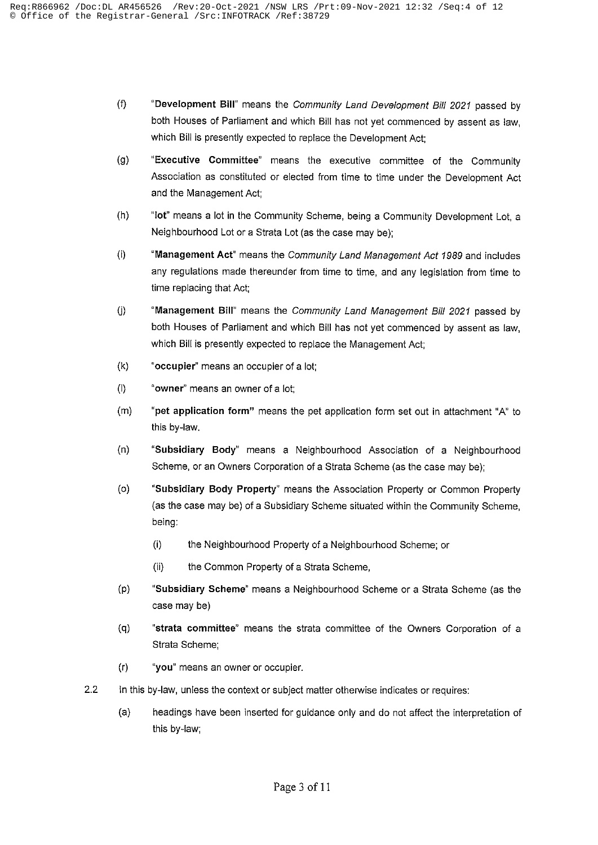- "Development Bill" means the Community Land Development Bill 2021 passed by  $(f)$ both Houses of Parliament and which Bill has not yet commenced by assent as law. which Bill is presently expected to replace the Development Act;
- "Executive Committee" means the executive committee of the Community  $(g)$ Association as constituted or elected from time to time under the Development Act and the Management Act;
- $(h)$ "lot" means a lot in the Community Scheme, being a Community Development Lot, a Neighbourhood Lot or a Strata Lot (as the case may be);
- "Management Act" means the Community Land Management Act 1989 and includes  $(i)$ any regulations made thereunder from time to time, and any legislation from time to time replacing that Act;
- $(i)$ "Management Bill" means the Community Land Management Bill 2021 passed by both Houses of Parliament and which Bill has not yet commenced by assent as law, which Bill is presently expected to replace the Management Act:
- $(k)$ "occupier" means an occupier of a lot;
- $($ l "owner" means an owner of a lot;
- $(m)$ "pet application form" means the pet application form set out in attachment "A" to this by-law.
- $(n)$ "Subsidiary Body" means a Neighbourhood Association of a Neighbourhood Scheme, or an Owners Corporation of a Strata Scheme (as the case may be);
- $(o)$ "Subsidiary Body Property" means the Association Property or Common Property (as the case may be) of a Subsidiary Scheme situated within the Community Scheme, being:
	- the Neighbourhood Property of a Neighbourhood Scheme; or  $(i)$
	- $(ii)$ the Common Property of a Strata Scheme,
- "Subsidiary Scheme" means a Neighbourhood Scheme or a Strata Scheme (as the  $(p)$ case may be)
- $(q)$ "strata committee" means the strata committee of the Owners Corporation of a Strata Scheme;
- $(r)$ "you" means an owner or occupier.
- $2.2$ In this by-law, unless the context or subject matter otherwise indicates or requires:
	- $(a)$ headings have been inserted for guidance only and do not affect the interpretation of this by-law;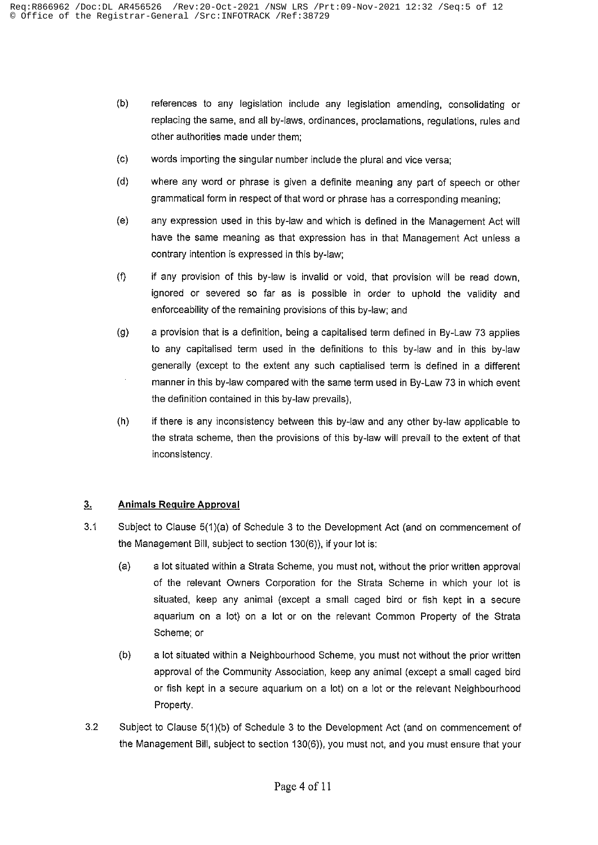- $(b)$ references to any legislation include any legislation amending, consolidating or replacing the same, and all by-laws, ordinances, proclamations, regulations, rules and other authorities made under them;
- words importing the singular number include the plural and vice versa;  $(c)$
- where any word or phrase is given a definite meaning any part of speech or other  $(d)$ grammatical form in respect of that word or phrase has a corresponding meaning;
- any expression used in this by-law and which is defined in the Management Act will  $(e)$ have the same meaning as that expression has in that Management Act unless a contrary intention is expressed in this by-law;
- $(f)$ if any provision of this by-law is invalid or void, that provision will be read down, ignored or severed so far as is possible in order to uphold the validity and enforceability of the remaining provisions of this by-law; and
- $(g)$ a provision that is a definition, being a capitalised term defined in By-Law 73 applies to any capitalised term used in the definitions to this by-law and in this by-law generally (except to the extent any such captialised term is defined in a different manner in this by-law compared with the same term used in By-Law 73 in which event the definition contained in this by-law prevails),
- $(h)$ if there is any inconsistency between this by-law and any other by-law applicable to the strata scheme, then the provisions of this by-law will prevail to the extent of that inconsistency.

#### $3<sub>1</sub>$ **Animals Require Approval**

- Subject to Clause 5(1)(a) of Schedule 3 to the Development Act (and on commencement of  $3.1$ the Management Bill, subject to section 130(6)), if your lot is:
	- $(a)$ a lot situated within a Strata Scheme, you must not, without the prior written approval of the relevant Owners Corporation for the Strata Scheme in which your lot is situated, keep any animal (except a small caged bird or fish kept in a secure aquarium on a lot) on a lot or on the relevant Common Property of the Strata Scheme; or
	- $(b)$ a lot situated within a Neighbourhood Scheme, you must not without the prior written approval of the Community Association, keep any animal (except a small caged bird or fish kept in a secure aquarium on a lot) on a lot or the relevant Neighbourhood Property.
- $3.2$ Subject to Clause 5(1)(b) of Schedule 3 to the Development Act (and on commencement of the Management Bill, subject to section 130(6)), you must not, and you must ensure that your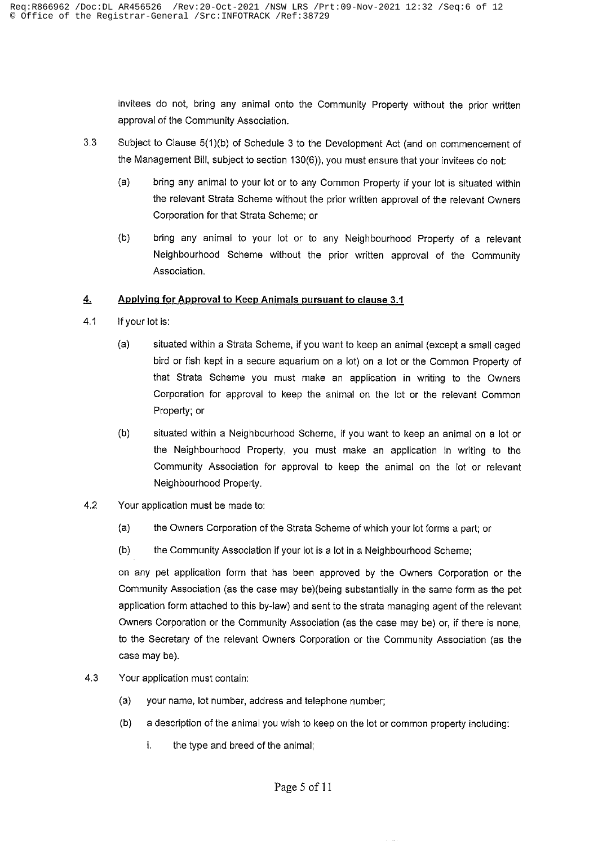invitees do not, bring any animal onto the Community Property without the prior written approval of the Community Association.

- $3.3$ Subject to Clause 5(1)(b) of Schedule 3 to the Development Act (and on commencement of the Management Bill, subject to section 130(6)), you must ensure that your invitees do not:
	- $(a)$ bring any animal to your lot or to any Common Property if your lot is situated within the relevant Strata Scheme without the prior written approval of the relevant Owners Corporation for that Strata Scheme; or
	- $(b)$ bring any animal to your lot or to any Neighbourhood Property of a relevant Neighbourhood Scheme without the prior written approval of the Community Association.

#### $4.$ Applying for Approval to Keep Animals pursuant to clause 3.1

- $4.1$ If your lot is:
	- $(a)$ situated within a Strata Scheme, if you want to keep an animal (except a small caged bird or fish kept in a secure aquarium on a lot) on a lot or the Common Property of that Strata Scheme you must make an application in writing to the Owners Corporation for approval to keep the animal on the lot or the relevant Common Property; or
	- $(b)$ situated within a Neighbourhood Scheme, if you want to keep an animal on a lot or the Neighbourhood Property, you must make an application in writing to the Community Association for approval to keep the animal on the lot or relevant Neighbourhood Property.
- $4.2$ Your application must be made to:
	- $(a)$ the Owners Corporation of the Strata Scheme of which your lot forms a part; or
	- $(b)$ the Community Association if your lot is a lot in a Neighbourhood Scheme;

on any pet application form that has been approved by the Owners Corporation or the Community Association (as the case may be)(being substantially in the same form as the pet application form attached to this by-law) and sent to the strata managing agent of the relevant Owners Corporation or the Community Association (as the case may be) or, if there is none, to the Secretary of the relevant Owners Corporation or the Community Association (as the case may be).

- $4.3$ Your application must contain:
	- (a) your name, lot number, address and telephone number;
	- a description of the animal you wish to keep on the lot or common property including:  $(b)$ 
		- i. the type and breed of the animal;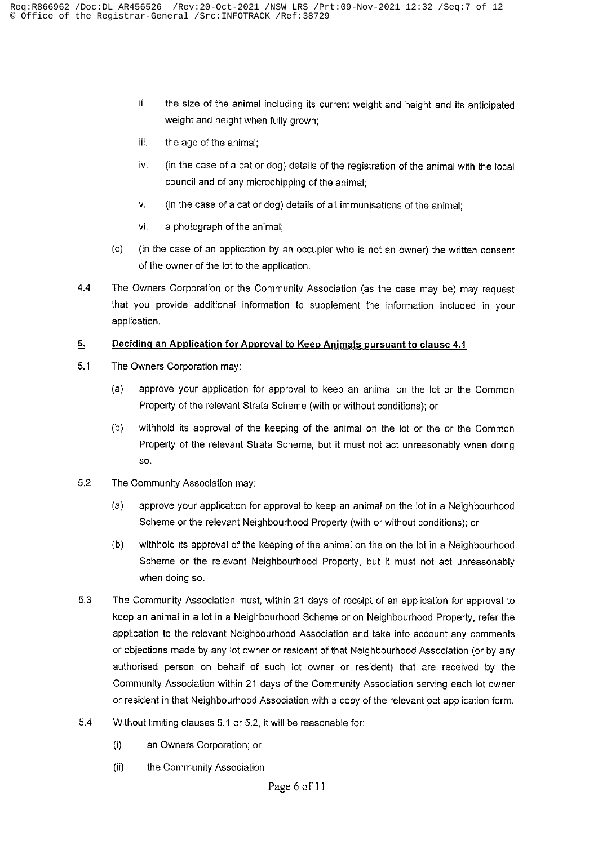- ii. the size of the animal including its current weight and height and its anticipated weight and height when fully grown;
- iii. the age of the animal;
- iv. (in the case of a cat or dog) details of the registration of the animal with the local council and of any microchipping of the animal;
- V. (in the case of a cat or dog) details of all immunisations of the animal;
- vi. a photograph of the animal;
- $(c)$ (in the case of an application by an occupier who is not an owner) the written consent of the owner of the lot to the application.
- $4.4$ The Owners Corporation or the Community Association (as the case may be) may request that you provide additional information to supplement the information included in your application.

#### $5.$ Deciding an Application for Approval to Keep Animals pursuant to clause 4.1

- $5.1$ The Owners Corporation may:
	- approve your application for approval to keep an animal on the lot or the Common  $(a)$ Property of the relevant Strata Scheme (with or without conditions); or
	- $(b)$ withhold its approval of the keeping of the animal on the lot or the or the Common Property of the relevant Strata Scheme, but it must not act unreasonably when doing SO.
- $5.2$ The Community Association may:
	- $(a)$ approve your application for approval to keep an animal on the lot in a Neighbourhood Scheme or the relevant Neighbourhood Property (with or without conditions); or
	- withhold its approval of the keeping of the animal on the on the lot in a Neighbourhood  $(b)$ Scheme or the relevant Neighbourhood Property, but it must not act unreasonably when doing so.
- 5.3 The Community Association must, within 21 days of receipt of an application for approval to keep an animal in a lot in a Neighbourhood Scheme or on Neighbourhood Property, refer the application to the relevant Neighbourhood Association and take into account any comments or objections made by any lot owner or resident of that Neighbourhood Association (or by any authorised person on behalf of such lot owner or resident) that are received by the Community Association within 21 days of the Community Association serving each lot owner or resident in that Neighbourhood Association with a copy of the relevant pet application form.
- 5.4 Without limiting clauses 5.1 or 5.2, it will be reasonable for:
	- $(i)$ an Owners Corporation; or
	- $(ii)$ the Community Association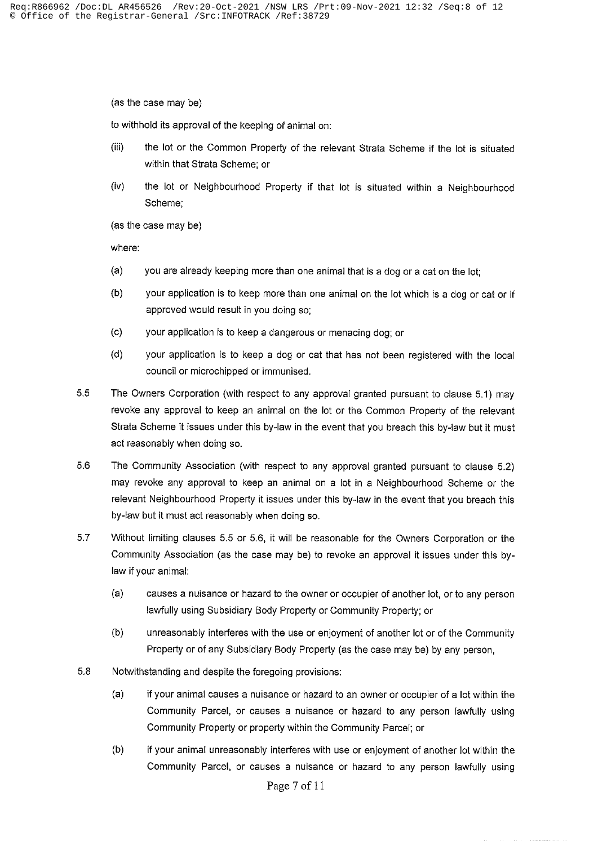(as the case may be)

to withhold its approval of the keeping of animal on:

- $(iii)$ the lot or the Common Property of the relevant Strata Scheme if the lot is situated within that Strata Scheme: or
- $(iv)$ the lot or Neighbourhood Property if that lot is situated within a Neighbourhood Scheme:

(as the case may be)

where:

- $(a)$ you are already keeping more than one animal that is a dog or a cat on the lot;
- your application is to keep more than one animal on the lot which is a dog or cat or if  $(b)$ approved would result in you doing so;
- $(c)$ your application is to keep a dangerous or menacing dog; or
- $(d)$ your application is to keep a dog or cat that has not been registered with the local council or microchipped or immunised.
- 5.5 The Owners Corporation (with respect to any approval granted pursuant to clause 5.1) may revoke any approval to keep an animal on the lot or the Common Property of the relevant Strata Scheme it issues under this by-law in the event that you breach this by-law but it must act reasonably when doing so.
- 5.6 The Community Association (with respect to any approval granted pursuant to clause 5.2) may revoke any approval to keep an animal on a lot in a Neighbourhood Scheme or the relevant Neighbourhood Property it issues under this by-law in the event that you breach this by-law but it must act reasonably when doing so.
- 5.7 Without limiting clauses 5.5 or 5.6, it will be reasonable for the Owners Corporation or the Community Association (as the case may be) to revoke an approval it issues under this bylaw if your animal:
	- $(a)$ causes a nuisance or hazard to the owner or occupier of another lot, or to any person lawfully using Subsidiary Body Property or Community Property; or
	- $(b)$ unreasonably interferes with the use or enjoyment of another lot or of the Community Property or of any Subsidiary Body Property (as the case may be) by any person,
- 5.8 Notwithstanding and despite the foregoing provisions:
	- $(a)$ if your animal causes a nuisance or hazard to an owner or occupier of a lot within the Community Parcel, or causes a nuisance or hazard to any person lawfully using Community Property or property within the Community Parcel; or
	- $(b)$ if your animal unreasonably interferes with use or enjoyment of another lot within the Community Parcel, or causes a nuisance or hazard to any person lawfully using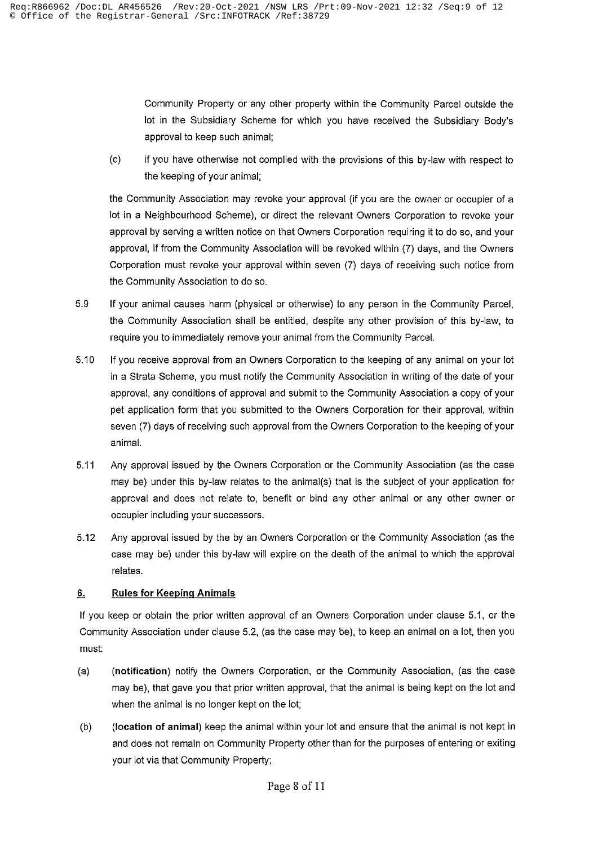Community Property or any other property within the Community Parcel outside the lot in the Subsidiary Scheme for which you have received the Subsidiary Body's approval to keep such animal;

 $(c)$ if you have otherwise not complied with the provisions of this by-law with respect to the keeping of your animal;

the Community Association may revoke your approval (if you are the owner or occupier of a lot in a Neighbourhood Scheme), or direct the relevant Owners Corporation to revoke your approval by serving a written notice on that Owners Corporation requiring it to do so, and your approval, if from the Community Association will be revoked within (7) days, and the Owners Corporation must revoke your approval within seven (7) days of receiving such notice from the Community Association to do so.

- 5.9 If your animal causes harm (physical or otherwise) to any person in the Community Parcel, the Community Association shall be entitled, despite any other provision of this by-law, to require you to immediately remove your animal from the Community Parcel.
- $5.10$ If you receive approval from an Owners Corporation to the keeping of any animal on your lot in a Strata Scheme, you must notify the Community Association in writing of the date of your approval, any conditions of approval and submit to the Community Association a copy of your pet application form that you submitted to the Owners Corporation for their approval, within seven (7) days of receiving such approval from the Owners Corporation to the keeping of your animal.
- 5.11 Any approval issued by the Owners Corporation or the Community Association (as the case may be) under this by-law relates to the animal(s) that is the subject of your application for approval and does not relate to, benefit or bind any other animal or any other owner or occupier including your successors.
- $5.12$ Any approval issued by the by an Owners Corporation or the Community Association (as the case may be) under this by-law will expire on the death of the animal to which the approval relates.

#### $6.$ **Rules for Keeping Animals**

If you keep or obtain the prior written approval of an Owners Corporation under clause 5.1, or the Community Association under clause 5.2, (as the case may be), to keep an animal on a lot, then you must:

- (notification) notify the Owners Corporation, or the Community Association, (as the case  $(a)$ may be), that gave you that prior written approval, that the animal is being kept on the lot and when the animal is no longer kept on the lot;
- $(b)$ (location of animal) keep the animal within your lot and ensure that the animal is not kept in and does not remain on Community Property other than for the purposes of entering or exiting your lot via that Community Property;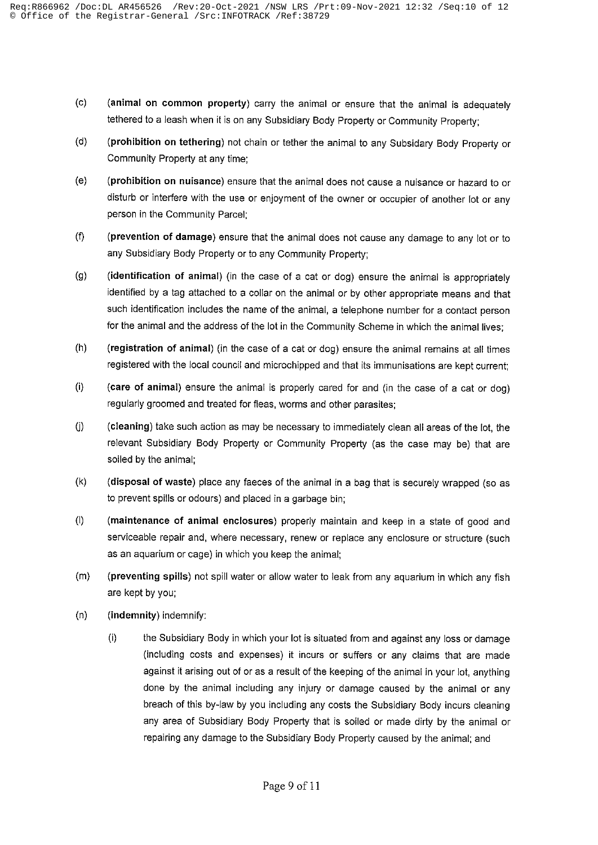- (animal on common property) carry the animal or ensure that the animal is adequately  $(c)$ tethered to a leash when it is on any Subsidiary Body Property or Community Property;
- $(d)$ (prohibition on tethering) not chain or tether the animal to any Subsidary Body Property or Community Property at any time;
- $(e)$ (prohibition on nuisance) ensure that the animal does not cause a nuisance or hazard to or disturb or interfere with the use or enjoyment of the owner or occupier of another lot or any person in the Community Parcel;
- (prevention of damage) ensure that the animal does not cause any damage to any lot or to  $(f)$ any Subsidiary Body Property or to any Community Property:
- (identification of animal) (in the case of a cat or dog) ensure the animal is appropriately  $(q)$ identified by a tag attached to a collar on the animal or by other appropriate means and that such identification includes the name of the animal, a telephone number for a contact person for the animal and the address of the lot in the Community Scheme in which the animal lives:
- (registration of animal) (in the case of a cat or dog) ensure the animal remains at all times  $(h)$ registered with the local council and microchipped and that its immunisations are kept current;
- $(i)$ (care of animal) ensure the animal is properly cared for and (in the case of a cat or dog) regularly groomed and treated for fleas, worms and other parasites;
- $(i)$ (cleaning) take such action as may be necessary to immediately clean all areas of the lot, the relevant Subsidiary Body Property or Community Property (as the case may be) that are soiled by the animal;
- (disposal of waste) place any faeces of the animal in a bag that is securely wrapped (so as  $(k)$ to prevent spills or odours) and placed in a garbage bin;
- $(1)$ (maintenance of animal enclosures) properly maintain and keep in a state of good and serviceable repair and, where necessary, renew or replace any enclosure or structure (such as an aquarium or cage) in which you keep the animal;
- (preventing spills) not spill water or allow water to leak from any aquarium in which any fish  $(m)$ are kept by you;
- $(n)$ (indemnity) indemnify:
	- $(i)$ the Subsidiary Body in which your lot is situated from and against any loss or damage (including costs and expenses) it incurs or suffers or any claims that are made against it arising out of or as a result of the keeping of the animal in your lot, anything done by the animal including any injury or damage caused by the animal or any breach of this by-law by you including any costs the Subsidiary Body incurs cleaning any area of Subsidiary Body Property that is soiled or made dirty by the animal or repairing any damage to the Subsidiary Body Property caused by the animal; and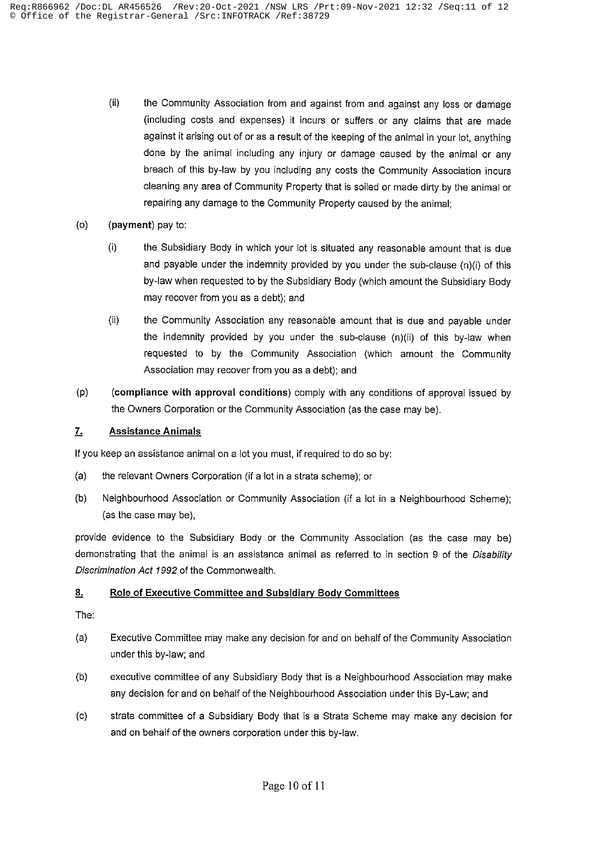- $(ii)$ the Community Association from and against from and against any loss or damage (including costs and expenses) it incurs or suffers or any claims that are made against it arising out of or as a result of the keeping of the animal in your lot, anything done by the animal including any injury or damage caused by the animal or any breach of this by-law by you including any costs the Community Association incurs cleaning any area of Community Property that is soiled or made dirty by the animal or repairing any damage to the Community Property caused by the animal:
- $(o)$ (payment) pay to:
	- $(i)$ the Subsidiary Body in which your lot is situated any reasonable amount that is due and payable under the indemnity provided by you under the sub-clause (n)(i) of this by-law when requested to by the Subsidiary Body (which amount the Subsidiary Body may recover from you as a debt); and
	- $(ii)$ the Community Association any reasonable amount that is due and payable under the indemnity provided by you under the sub-clause (n)(ii) of this by-law when requested to by the Community Association (which amount the Community Association may recover from you as a debt); and
- $(p)$ (compliance with approval conditions) comply with any conditions of approval issued by the Owners Corporation or the Community Association (as the case may be).

#### $\mathbf{7}$ **Assistance Animals**

If you keep an assistance animal on a lot you must, if required to do so by:

- $(a)$ the relevant Owners Corporation (if a lot in a strata scheme); or
- $(b)$ Neighbourhood Association or Community Association (if a lot in a Neighbourhood Scheme); (as the case may be),

provide evidence to the Subsidiary Body or the Community Association (as the case may be) demonstrating that the animal is an assistance animal as referred to in section 9 of the Disability Discrimination Act 1992 of the Commonwealth.

#### $8.$ Role of Executive Committee and Subsidiary Body Committees

The:

- (a) Executive Committee may make any decision for and on behalf of the Community Association under this by-law; and
- $(b)$ executive committee of any Subsidiary Body that is a Neighbourhood Association may make any decision for and on behalf of the Neighbourhood Association under this By-Law; and
- strata committee of a Subsidiary Body that is a Strata Scheme may make any decision for  $(c)$ and on behalf of the owners corporation under this by-law.